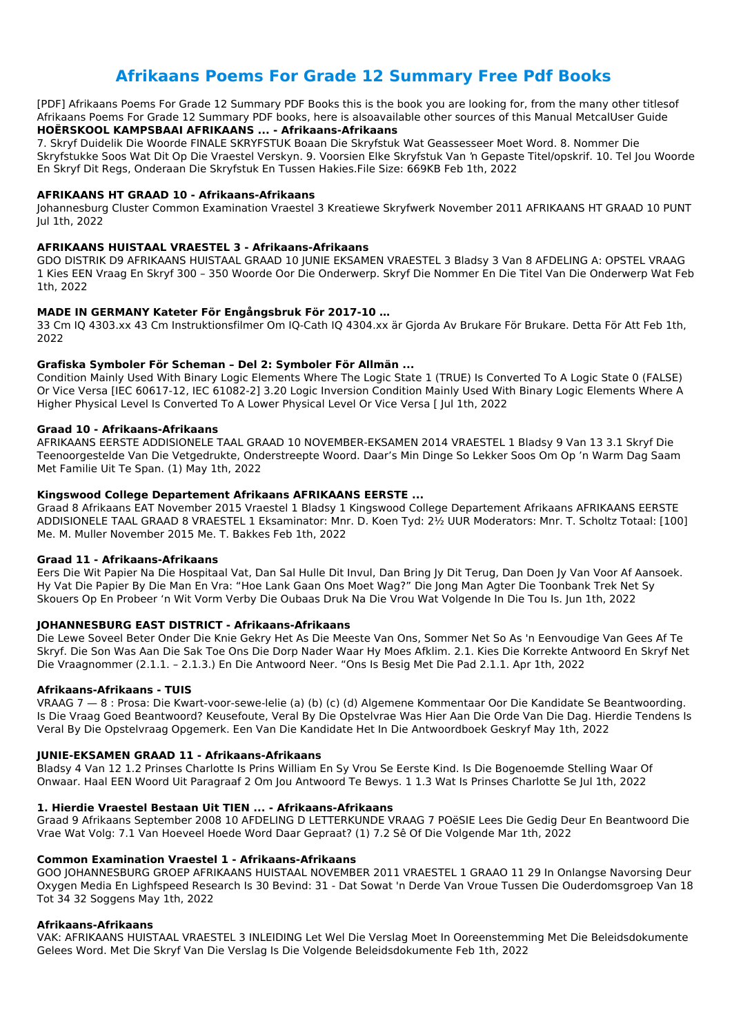# **Afrikaans Poems For Grade 12 Summary Free Pdf Books**

[PDF] Afrikaans Poems For Grade 12 Summary PDF Books this is the book you are looking for, from the many other titlesof Afrikaans Poems For Grade 12 Summary PDF books, here is alsoavailable other sources of this Manual MetcalUser Guide **HOËRSKOOL KAMPSBAAI AFRIKAANS ... - Afrikaans-Afrikaans**

7. Skryf Duidelik Die Woorde FINALE SKRYFSTUK Boaan Die Skryfstuk Wat Geassesseer Moet Word. 8. Nommer Die Skryfstukke Soos Wat Dit Op Die Vraestel Verskyn. 9. Voorsien Elke Skryfstuk Van 'n Gepaste Titel/opskrif. 10. Tel Jou Woorde En Skryf Dit Regs, Onderaan Die Skryfstuk En Tussen Hakies.File Size: 669KB Feb 1th, 2022

### **AFRIKAANS HT GRAAD 10 - Afrikaans-Afrikaans**

Johannesburg Cluster Common Examination Vraestel 3 Kreatiewe Skryfwerk November 2011 AFRIKAANS HT GRAAD 10 PUNT Jul 1th, 2022

### **AFRIKAANS HUISTAAL VRAESTEL 3 - Afrikaans-Afrikaans**

GDO DISTRIK D9 AFRIKAANS HUISTAAL GRAAD 10 JUNIE EKSAMEN VRAESTEL 3 Bladsy 3 Van 8 AFDELING A: OPSTEL VRAAG 1 Kies EEN Vraag En Skryf 300 – 350 Woorde Oor Die Onderwerp. Skryf Die Nommer En Die Titel Van Die Onderwerp Wat Feb 1th, 2022

### **MADE IN GERMANY Kateter För Engångsbruk För 2017-10 …**

33 Cm IQ 4303.xx 43 Cm Instruktionsfilmer Om IQ-Cath IQ 4304.xx är Gjorda Av Brukare För Brukare. Detta För Att Feb 1th, 2022

#### **Grafiska Symboler För Scheman – Del 2: Symboler För Allmän ...**

Condition Mainly Used With Binary Logic Elements Where The Logic State 1 (TRUE) Is Converted To A Logic State 0 (FALSE) Or Vice Versa [IEC 60617-12, IEC 61082-2] 3.20 Logic Inversion Condition Mainly Used With Binary Logic Elements Where A Higher Physical Level Is Converted To A Lower Physical Level Or Vice Versa [ Jul 1th, 2022

#### **Graad 10 - Afrikaans-Afrikaans**

AFRIKAANS EERSTE ADDISIONELE TAAL GRAAD 10 NOVEMBER-EKSAMEN 2014 VRAESTEL 1 Bladsy 9 Van 13 3.1 Skryf Die Teenoorgestelde Van Die Vetgedrukte, Onderstreepte Woord. Daar's Min Dinge So Lekker Soos Om Op 'n Warm Dag Saam Met Familie Uit Te Span. (1) May 1th, 2022

### **Kingswood College Departement Afrikaans AFRIKAANS EERSTE ...**

Graad 8 Afrikaans EAT November 2015 Vraestel 1 Bladsy 1 Kingswood College Departement Afrikaans AFRIKAANS EERSTE ADDISIONELE TAAL GRAAD 8 VRAESTEL 1 Eksaminator: Mnr. D. Koen Tyd: 2½ UUR Moderators: Mnr. T. Scholtz Totaal: [100] Me. M. Muller November 2015 Me. T. Bakkes Feb 1th, 2022

### **Graad 11 - Afrikaans-Afrikaans**

Eers Die Wit Papier Na Die Hospitaal Vat, Dan Sal Hulle Dit Invul, Dan Bring Jy Dit Terug, Dan Doen Jy Van Voor Af Aansoek. Hy Vat Die Papier By Die Man En Vra: "Hoe Lank Gaan Ons Moet Wag?" Die Jong Man Agter Die Toonbank Trek Net Sy Skouers Op En Probeer 'n Wit Vorm Verby Die Oubaas Druk Na Die Vrou Wat Volgende In Die Tou Is. Jun 1th, 2022

### **JOHANNESBURG EAST DISTRICT - Afrikaans-Afrikaans**

Die Lewe Soveel Beter Onder Die Knie Gekry Het As Die Meeste Van Ons, Sommer Net So As 'n Eenvoudige Van Gees Af Te Skryf. Die Son Was Aan Die Sak Toe Ons Die Dorp Nader Waar Hy Moes Afklim. 2.1. Kies Die Korrekte Antwoord En Skryf Net Die Vraagnommer (2.1.1. – 2.1.3.) En Die Antwoord Neer. "Ons Is Besig Met Die Pad 2.1.1. Apr 1th, 2022

### **Afrikaans-Afrikaans - TUIS**

VRAAG 7 — 8 : Prosa: Die Kwart-voor-sewe-lelie (a) (b) (c) (d) Algemene Kommentaar Oor Die Kandidate Se Beantwoording. Is Die Vraag Goed Beantwoord? Keusefoute, Veral By Die Opstelvrae Was Hier Aan Die Orde Van Die Dag. Hierdie Tendens Is Veral By Die Opstelvraag Opgemerk. Een Van Die Kandidate Het In Die Antwoordboek Geskryf May 1th, 2022

#### **JUNIE-EKSAMEN GRAAD 11 - Afrikaans-Afrikaans**

Bladsy 4 Van 12 1.2 Prinses Charlotte Is Prins William En Sy Vrou Se Eerste Kind. Is Die Bogenoemde Stelling Waar Of Onwaar. Haal EEN Woord Uit Paragraaf 2 Om Jou Antwoord Te Bewys. 1 1.3 Wat Is Prinses Charlotte Se Jul 1th, 2022

#### **1. Hierdie Vraestel Bestaan Uit TIEN ... - Afrikaans-Afrikaans**

Graad 9 Afrikaans September 2008 10 AFDELING D LETTERKUNDE VRAAG 7 POëSIE Lees Die Gedig Deur En Beantwoord Die Vrae Wat Volg: 7.1 Van Hoeveel Hoede Word Daar Gepraat? (1) 7.2 Sê Of Die Volgende Mar 1th, 2022

#### **Common Examination Vraestel 1 - Afrikaans-Afrikaans**

GOO JOHANNESBURG GROEP AFRIKAANS HUISTAAL NOVEMBER 2011 VRAESTEL 1 GRAAO 11 29 In Onlangse Navorsing Deur Oxygen Media En Lighfspeed Research Is 30 Bevind: 31 - Dat Sowat 'n Derde Van Vroue Tussen Die Ouderdomsgroep Van 18 Tot 34 32 Soggens May 1th, 2022

#### **Afrikaans-Afrikaans**

VAK: AFRIKAANS HUISTAAL VRAESTEL 3 INLEIDING Let Wel Die Verslag Moet In Ooreenstemming Met Die Beleidsdokumente Gelees Word. Met Die Skryf Van Die Verslag Is Die Volgende Beleidsdokumente Feb 1th, 2022